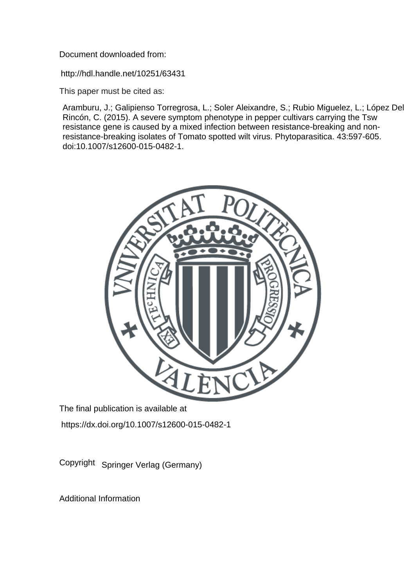Document downloaded from:

http://hdl.handle.net/10251/63431

This paper must be cited as:

Aramburu, J.; Galipienso Torregrosa, L.; Soler Aleixandre, S.; Rubio Miguelez, L.; López Del Rincón, C. (2015). A severe symptom phenotype in pepper cultivars carrying the Tsw resistance gene is caused by a mixed infection between resistance-breaking and nonresistance-breaking isolates of Tomato spotted wilt virus. Phytoparasitica. 43:597-605. doi:10.1007/s12600-015-0482-1.



The final publication is available at https://dx.doi.org/10.1007/s12600-015-0482-1

Copyright Springer Verlag (Germany)

Additional Information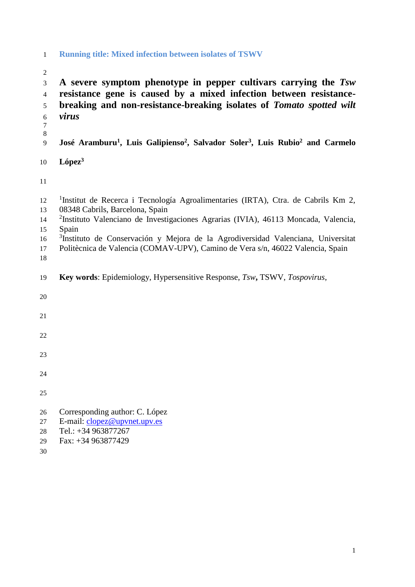## **Running title: Mixed infection between isolates of TSWV**

- **A severe symptom phenotype in pepper cultivars carrying the** *Tsw* **resistance gene is caused by a mixed infection between resistance- breaking and non-resistance-breaking isolates of** *Tomato spotted wilt virus* **José Aramburu<sup>1</sup> , Luis Galipienso<sup>2</sup> , Salvador Soler<sup>3</sup> , Luis Rubio<sup>2</sup> and Carmelo López<sup>3</sup>** 12 <sup>1</sup>Institut de Recerca i Tecnología Agroalimentaries (IRTA), Ctra. de Cabrils Km 2, 08348 Cabrils, Barcelona, Spain 14 <sup>2</sup>Instituto Valenciano de Investigaciones Agrarias (IVIA), 46113 Moncada, Valencia, Spain 16 <sup>3</sup>Instituto de Conservación y Mejora de la Agrodiversidad Valenciana, Universitat Politècnica de Valencia (COMAV-UPV), Camino de Vera s/n, 46022 Valencia, Spain **Key words**: Epidemiology, Hypersensitive Response, *Tsw***,** TSWV, *Tospovirus*, Corresponding author: C. López E-mail: [clopez@upvnet.upv.es](mailto:clopez@upvnet.upv.es) Tel.: +34 963877267 Fax: +34 963877429
-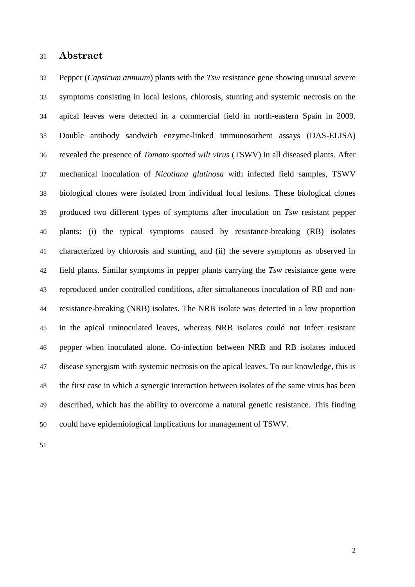## **Abstract**

 Pepper (*Capsicum annuum*) plants with the *Tsw* resistance gene showing unusual severe symptoms consisting in local lesions, chlorosis, stunting and systemic necrosis on the apical leaves were detected in a commercial field in north-eastern Spain in 2009. Double antibody sandwich enzyme-linked immunosorbent assays (DAS-ELISA) revealed the presence of *Tomato spotted wilt virus* (TSWV) in all diseased plants. After mechanical inoculation of *Nicotiana glutinosa* with infected field samples, TSWV biological clones were isolated from individual local lesions. These biological clones produced two different types of symptoms after inoculation on *Tsw* resistant pepper plants: (i) the typical symptoms caused by resistance-breaking (RB) isolates characterized by chlorosis and stunting, and (ii) the severe symptoms as observed in field plants. Similar symptoms in pepper plants carrying the *Tsw* resistance gene were reproduced under controlled conditions, after simultaneous inoculation of RB and non- resistance-breaking (NRB) isolates. The NRB isolate was detected in a low proportion in the apical uninoculated leaves, whereas NRB isolates could not infect resistant pepper when inoculated alone. Co-infection between NRB and RB isolates induced disease synergism with systemic necrosis on the apical leaves. To our knowledge, this is the first case in which a synergic interaction between isolates of the same virus has been described, which has the ability to overcome a natural genetic resistance. This finding could have epidemiological implications for management of TSWV.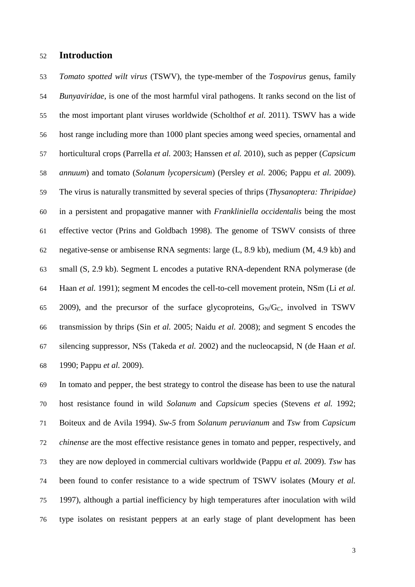## **Introduction**

 *Tomato spotted wilt virus* (TSWV), the type-member of the *Tospovirus* genus, family *Bunyaviridae*, is one of the most harmful viral pathogens. It ranks second on the list of the most important plant viruses worldwide (Scholthof *et al.* 2011). TSWV has a wide host range including more than 1000 plant species among weed species, ornamental and horticultural crops (Parrella *et al.* 2003; Hanssen *et al.* 2010), such as pepper (*Capsicum annuum*) and tomato (*Solanum lycopersicum*) (Persley *et al.* 2006; Pappu *et al.* 2009). The virus is naturally transmitted by several species of thrips (*Thysanoptera: Thripidae)*  in a persistent and propagative manner with *Frankliniella occidentalis* being the most effective vector (Prins and Goldbach 1998). The genome of TSWV consists of three negative-sense or ambisense RNA segments: large (L, 8.9 kb), medium (M, 4.9 kb) and small (S, 2.9 kb). Segment L encodes a putative RNA-dependent RNA polymerase (de Haan *et al.* 1991); segment M encodes the cell-to-cell movement protein, NSm (Li *et al.* 65 2009), and the precursor of the surface glycoproteins,  $G_N/G_C$ , involved in TSWV transmission by thrips (Sin *et al.* 2005; Naidu *et al.* 2008); and segment S encodes the silencing suppressor, NSs (Takeda *et al.* 2002) and the nucleocapsid, N (de Haan *et al.* 1990; Pappu *et al.* 2009).

 In tomato and pepper, the best strategy to control the disease has been to use the natural host resistance found in wild *Solanum* and *Capsicum* species (Stevens *et al.* 1992; Boiteux and de Avila 1994). *Sw-5* from *Solanum peruvianum* and *Tsw* from *Capsicum chinense* are the most effective resistance genes in tomato and pepper, respectively, and they are now deployed in commercial cultivars worldwide (Pappu *et al.* 2009). *Tsw* has been found to confer resistance to a wide spectrum of TSWV isolates (Moury *et al.* 1997), although a partial inefficiency by high temperatures after inoculation with wild type isolates on resistant peppers at an early stage of plant development has been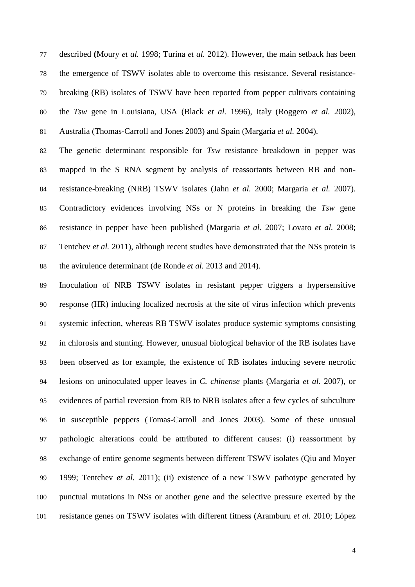described **(**Moury *et al.* 1998; Turina *et al.* 2012). However, the main setback has been the emergence of TSWV isolates able to overcome this resistance. Several resistance- breaking (RB) isolates of TSWV have been reported from pepper cultivars containing the *Tsw* gene in Louisiana, USA (Black *et al.* 1996), Italy (Roggero *et al.* 2002), Australia (Thomas-Carroll and Jones 2003) and Spain (Margaria *et al.* 2004).

 The genetic determinant responsible for *Tsw* resistance breakdown in pepper was mapped in the S RNA segment by analysis of reassortants between RB and non- resistance-breaking (NRB) TSWV isolates (Jahn *et al.* 2000; Margaria *et al.* 2007). Contradictory evidences involving NSs or N proteins in breaking the *Tsw* gene resistance in pepper have been published (Margaria *et al.* 2007; Lovato *et al.* 2008; Tentchev *et al.* 2011), although recent studies have demonstrated that the NSs protein is the avirulence determinant (de Ronde *et al.* 2013 and 2014).

 Inoculation of NRB TSWV isolates in resistant pepper triggers a hypersensitive response (HR) inducing localized necrosis at the site of virus infection which prevents systemic infection, whereas RB TSWV isolates produce systemic symptoms consisting in chlorosis and stunting. However, unusual biological behavior of the RB isolates have been observed as for example, the existence of RB isolates inducing severe necrotic lesions on uninoculated upper leaves in *C. chinense* plants (Margaria *et al.* 2007), or evidences of partial reversion from RB to NRB isolates after a few cycles of subculture in susceptible peppers (Tomas-Carroll and Jones 2003). Some of these unusual pathologic alterations could be attributed to different causes: (i) reassortment by exchange of entire genome segments between different TSWV isolates (Qiu and Moyer 1999; Tentchev *et al.* 2011); (ii) existence of a new TSWV pathotype generated by punctual mutations in NSs or another gene and the selective pressure exerted by the resistance genes on TSWV isolates with different fitness (Aramburu *et al.* 2010; López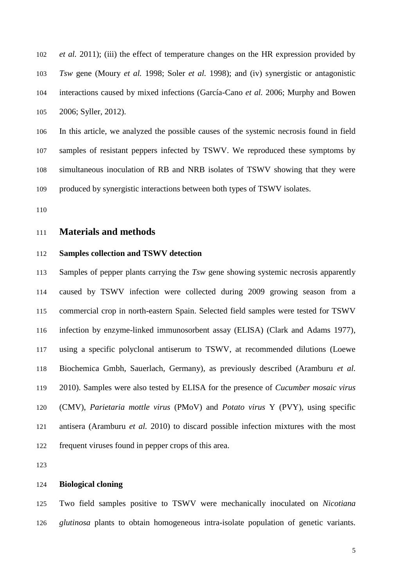*et al.* 2011); (iii) the effect of temperature changes on the HR expression provided by *Tsw* gene (Moury *et al.* 1998; Soler *et al.* 1998); and (iv) synergistic or antagonistic interactions caused by mixed infections (García-Cano *et al.* 2006; Murphy and Bowen 2006; Syller, 2012).

 In this article, we analyzed the possible causes of the systemic necrosis found in field samples of resistant peppers infected by TSWV. We reproduced these symptoms by simultaneous inoculation of RB and NRB isolates of TSWV showing that they were produced by synergistic interactions between both types of TSWV isolates.

## **Materials and methods**

## **Samples collection and TSWV detection**

 Samples of pepper plants carrying the *Tsw* gene showing systemic necrosis apparently caused by TSWV infection were collected during 2009 growing season from a commercial crop in north-eastern Spain. Selected field samples were tested for TSWV infection by enzyme-linked immunosorbent assay (ELISA) (Clark and Adams 1977), using a specific polyclonal antiserum to TSWV, at recommended dilutions (Loewe Biochemica Gmbh, Sauerlach, Germany), as previously described (Aramburu *et al.* 2010). Samples were also tested by ELISA for the presence of *Cucumber mosaic virus*  (CMV), *Parietaria mottle virus* (PMoV) and *Potato virus* Y (PVY), using specific antisera (Aramburu *et al.* 2010) to discard possible infection mixtures with the most frequent viruses found in pepper crops of this area.

## **Biological cloning**

 Two field samples positive to TSWV were mechanically inoculated on *Nicotiana glutinosa* plants to obtain homogeneous intra-isolate population of genetic variants.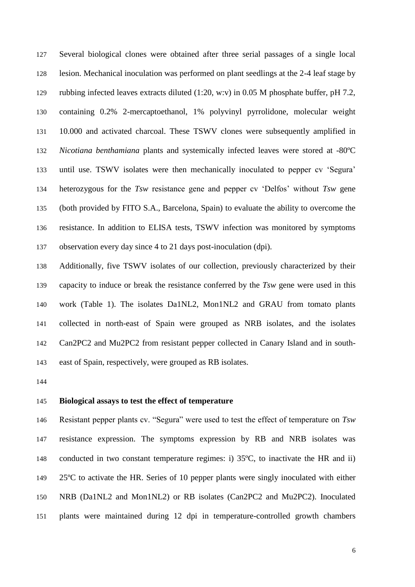Several biological clones were obtained after three serial passages of a single local lesion. Mechanical inoculation was performed on plant seedlings at the 2-4 leaf stage by rubbing infected leaves extracts diluted (1:20, w:v) in 0.05 M phosphate buffer, pH 7.2, containing 0.2% 2-mercaptoethanol, 1% polyvinyl pyrrolidone, molecular weight 10.000 and activated charcoal. These TSWV clones were subsequently amplified in *Nicotiana benthamiana* plants and systemically infected leaves were stored at -80ºC until use. TSWV isolates were then mechanically inoculated to pepper cv 'Segura' heterozygous for the *Tsw* resistance gene and pepper cv 'Delfos' without *Tsw* gene (both provided by FITO S.A., Barcelona, Spain) to evaluate the ability to overcome the resistance. In addition to ELISA tests, TSWV infection was monitored by symptoms observation every day since 4 to 21 days post-inoculation (dpi).

 Additionally, five TSWV isolates of our collection, previously characterized by their capacity to induce or break the resistance conferred by the *Tsw* gene were used in this work (Table 1). The isolates Da1NL2, Mon1NL2 and GRAU from tomato plants collected in north-east of Spain were grouped as NRB isolates, and the isolates Can2PC2 and Mu2PC2 from resistant pepper collected in Canary Island and in south-east of Spain, respectively, were grouped as RB isolates.

## **Biological assays to test the effect of temperature**

 Resistant pepper plants cv. "Segura" were used to test the effect of temperature on *Tsw* resistance expression. The symptoms expression by RB and NRB isolates was 148 conducted in two constant temperature regimes: i) 35°C, to inactivate the HR and ii) 25ºC to activate the HR. Series of 10 pepper plants were singly inoculated with either NRB (Da1NL2 and Mon1NL2) or RB isolates (Can2PC2 and Mu2PC2). Inoculated plants were maintained during 12 dpi in temperature-controlled growth chambers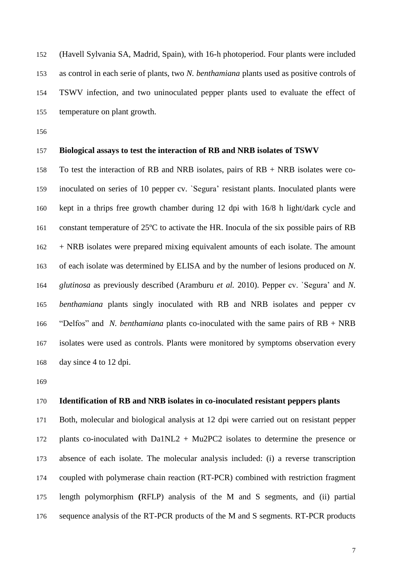(Havell Sylvania SA, Madrid, Spain), with 16-h photoperiod. Four plants were included as control in each serie of plants, two *N. benthamiana* plants used as positive controls of TSWV infection, and two uninoculated pepper plants used to evaluate the effect of temperature on plant growth.

## **Biological assays to test the interaction of RB and NRB isolates of TSWV**

 To test the interaction of RB and NRB isolates, pairs of RB + NRB isolates were co- inoculated on series of 10 pepper cv. `Segura' resistant plants. Inoculated plants were kept in a thrips free growth chamber during 12 dpi with 16/8 h light/dark cycle and constant temperature of 25ºC to activate the HR. Inocula of the six possible pairs of RB + NRB isolates were prepared mixing equivalent amounts of each isolate. The amount of each isolate was determined by ELISA and by the number of lesions produced on *N. glutinosa* as previously described (Aramburu *et al.* 2010). Pepper cv. `Segura' and *N. benthamiana* plants singly inoculated with RB and NRB isolates and pepper cv "Delfos" and *N. benthamiana* plants co-inoculated with the same pairs of RB + NRB isolates were used as controls. Plants were monitored by symptoms observation every day since 4 to 12 dpi.

## **Identification of RB and NRB isolates in co-inoculated resistant peppers plants**

 Both, molecular and biological analysis at 12 dpi were carried out on resistant pepper plants co-inoculated with Da1NL2 + Mu2PC2 isolates to determine the presence or absence of each isolate. The molecular analysis included: (i) a reverse transcription coupled with polymerase chain reaction (RT-PCR) combined with restriction fragment length polymorphism **(**RFLP) analysis of the M and S segments, and (ii) partial sequence analysis of the RT-PCR products of the M and S segments. RT-PCR products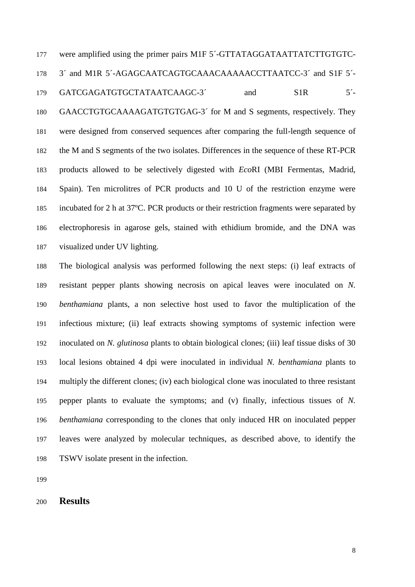were amplified using the primer pairs M1F 5´-GTTATAGGATAATTATCTTGTGTC- 3´ and M1R 5´-AGAGCAATCAGTGCAAACAAAAACCTTAATCC-3´ and S1F 5´- 179 GATCGAGATGTGCTATAATCAAGC-3<sup>2</sup> and S1R 5<sup>2</sup>- GAACCTGTGCAAAAGATGTGTGAG-3´ for M and S segments, respectively. They were designed from conserved sequences after comparing the full-length sequence of the M and S segments of the two isolates. Differences in the sequence of these RT-PCR products allowed to be selectively digested with *Eco*RI (MBI Fermentas, Madrid, Spain). Ten microlitres of PCR products and 10 U of the restriction enzyme were incubated for 2 h at 37ºC. PCR products or their restriction fragments were separated by electrophoresis in agarose gels, stained with ethidium bromide, and the DNA was visualized under UV lighting.

 The biological analysis was performed following the next steps: (i) leaf extracts of resistant pepper plants showing necrosis on apical leaves were inoculated on *N. benthamiana* plants, a non selective host used to favor the multiplication of the infectious mixture; (ii) leaf extracts showing symptoms of systemic infection were inoculated on *N. glutinosa* plants to obtain biological clones; (iii) leaf tissue disks of 30 local lesions obtained 4 dpi were inoculated in individual *N. benthamiana* plants to multiply the different clones; (iv) each biological clone was inoculated to three resistant pepper plants to evaluate the symptoms; and (v) finally, infectious tissues of *N. benthamiana* corresponding to the clones that only induced HR on inoculated pepper leaves were analyzed by molecular techniques, as described above, to identify the TSWV isolate present in the infection.

**Results**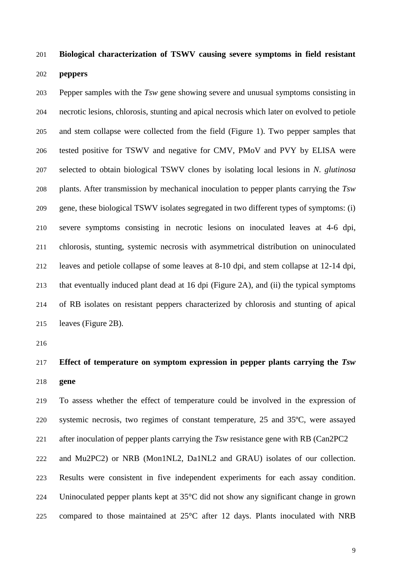## **Biological characterization of TSWV causing severe symptoms in field resistant**

### **peppers**

 Pepper samples with the *Tsw* gene showing severe and unusual symptoms consisting in necrotic lesions, chlorosis, stunting and apical necrosis which later on evolved to petiole and stem collapse were collected from the field (Figure 1). Two pepper samples that tested positive for TSWV and negative for CMV, PMoV and PVY by ELISA were selected to obtain biological TSWV clones by isolating local lesions in *N. glutinosa* plants. After transmission by mechanical inoculation to pepper plants carrying the *Tsw* gene, these biological TSWV isolates segregated in two different types of symptoms: (i) severe symptoms consisting in necrotic lesions on inoculated leaves at 4-6 dpi, chlorosis, stunting, systemic necrosis with asymmetrical distribution on uninoculated leaves and petiole collapse of some leaves at 8-10 dpi, and stem collapse at 12-14 dpi, that eventually induced plant dead at 16 dpi (Figure 2A), and (ii) the typical symptoms of RB isolates on resistant peppers characterized by chlorosis and stunting of apical leaves (Figure 2B).

## **Effect of temperature on symptom expression in pepper plants carrying the** *Tsw* **gene**

 To assess whether the effect of temperature could be involved in the expression of systemic necrosis, two regimes of constant temperature, 25 and 35ºC, were assayed after inoculation of pepper plants carrying the *Tsw* resistance gene with RB (Can2PC2

 and Mu2PC2) or NRB (Mon1NL2, Da1NL2 and GRAU) isolates of our collection. Results were consistent in five independent experiments for each assay condition. Uninoculated pepper plants kept at 35°C did not show any significant change in grown compared to those maintained at 25°C after 12 days. Plants inoculated with NRB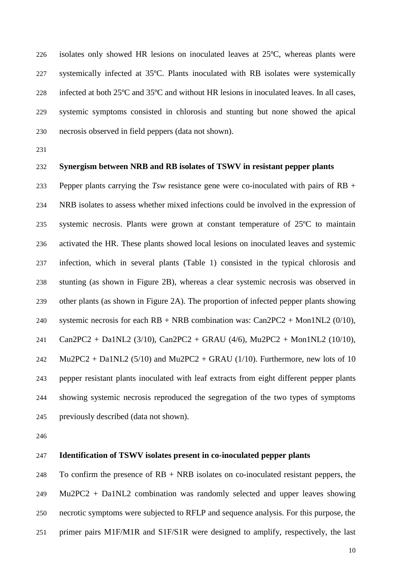isolates only showed HR lesions on inoculated leaves at 25ºC, whereas plants were systemically infected at 35ºC. Plants inoculated with RB isolates were systemically infected at both 25ºC and 35ºC and without HR lesions in inoculated leaves. In all cases, systemic symptoms consisted in chlorosis and stunting but none showed the apical necrosis observed in field peppers (data not shown).

## **Synergism between NRB and RB isolates of TSWV in resistant pepper plants**

 Pepper plants carrying the *Tsw* resistance gene were co-inoculated with pairs of RB + NRB isolates to assess whether mixed infections could be involved in the expression of systemic necrosis. Plants were grown at constant temperature of 25ºC to maintain activated the HR. These plants showed local lesions on inoculated leaves and systemic infection, which in several plants (Table 1) consisted in the typical chlorosis and stunting (as shown in Figure 2B), whereas a clear systemic necrosis was observed in other plants (as shown in Figure 2A). The proportion of infected pepper plants showing systemic necrosis for each RB + NRB combination was: Can2PC2 + Mon1NL2 (0/10), Can2PC2 + Da1NL2 (3/10), Can2PC2 + GRAU (4/6), Mu2PC2 + Mon1NL2 (10/10), 242 Mu2PC2 + Da1NL2 (5/10) and Mu2PC2 + GRAU (1/10). Furthermore, new lots of 10 pepper resistant plants inoculated with leaf extracts from eight different pepper plants showing systemic necrosis reproduced the segregation of the two types of symptoms previously described (data not shown).

## **Identification of TSWV isolates present in co-inoculated pepper plants**

248 To confirm the presence of  $RB + NRB$  isolates on co-inoculated resistant peppers, the Mu2PC2 + Da1NL2 combination was randomly selected and upper leaves showing necrotic symptoms were subjected to RFLP and sequence analysis. For this purpose, the primer pairs M1F/M1R and S1F/S1R were designed to amplify, respectively, the last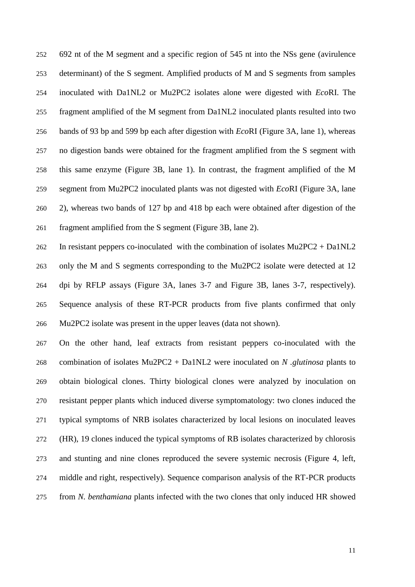692 nt of the M segment and a specific region of 545 nt into the NSs gene (avirulence determinant) of the S segment. Amplified products of M and S segments from samples inoculated with Da1NL2 or Mu2PC2 isolates alone were digested with *Eco*RI. The fragment amplified of the M segment from Da1NL2 inoculated plants resulted into two bands of 93 bp and 599 bp each after digestion with *Eco*RI (Figure 3A, lane 1), whereas no digestion bands were obtained for the fragment amplified from the S segment with this same enzyme (Figure 3B, lane 1). In contrast, the fragment amplified of the M segment from Mu2PC2 inoculated plants was not digested with *Eco*RI (Figure 3A, lane 2), whereas two bands of 127 bp and 418 bp each were obtained after digestion of the fragment amplified from the S segment (Figure 3B, lane 2).

 In resistant peppers co-inoculated with the combination of isolates Mu2PC2 + Da1NL2 only the M and S segments corresponding to the Mu2PC2 isolate were detected at 12 dpi by RFLP assays (Figure 3A, lanes 3-7 and Figure 3B, lanes 3-7, respectively). Sequence analysis of these RT-PCR products from five plants confirmed that only Mu2PC2 isolate was present in the upper leaves (data not shown).

 On the other hand, leaf extracts from resistant peppers co-inoculated with the combination of isolates Mu2PC2 + Da1NL2 were inoculated on *N .glutinosa* plants to obtain biological clones. Thirty biological clones were analyzed by inoculation on resistant pepper plants which induced diverse symptomatology: two clones induced the typical symptoms of NRB isolates characterized by local lesions on inoculated leaves (HR), 19 clones induced the typical symptoms of RB isolates characterized by chlorosis and stunting and nine clones reproduced the severe systemic necrosis (Figure 4, left, middle and right, respectively). Sequence comparison analysis of the RT-PCR products from *N. benthamiana* plants infected with the two clones that only induced HR showed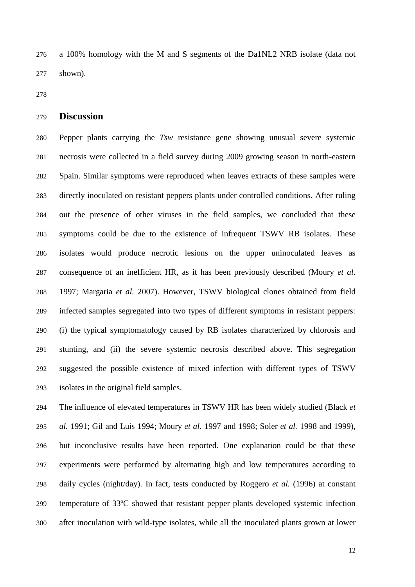a 100% homology with the M and S segments of the Da1NL2 NRB isolate (data not shown).

## **Discussion**

 Pepper plants carrying the *Tsw* resistance gene showing unusual severe systemic necrosis were collected in a field survey during 2009 growing season in north-eastern Spain. Similar symptoms were reproduced when leaves extracts of these samples were directly inoculated on resistant peppers plants under controlled conditions. After ruling out the presence of other viruses in the field samples, we concluded that these symptoms could be due to the existence of infrequent TSWV RB isolates. These isolates would produce necrotic lesions on the upper uninoculated leaves as consequence of an inefficient HR, as it has been previously described (Moury *et al.* 1997; Margaria *et al.* 2007). However, TSWV biological clones obtained from field infected samples segregated into two types of different symptoms in resistant peppers: (i) the typical symptomatology caused by RB isolates characterized by chlorosis and stunting, and (ii) the severe systemic necrosis described above. This segregation suggested the possible existence of mixed infection with different types of TSWV isolates in the original field samples.

 The influence of elevated temperatures in TSWV HR has been widely studied (Black *et al.* 1991; Gil and Luis 1994; Moury *et al.* 1997 and 1998; Soler *et al.* 1998 and 1999), but inconclusive results have been reported. One explanation could be that these experiments were performed by alternating high and low temperatures according to daily cycles (night/day). In fact, tests conducted by Roggero *et al.* (1996) at constant temperature of 33ºC showed that resistant pepper plants developed systemic infection after inoculation with wild-type isolates, while all the inoculated plants grown at lower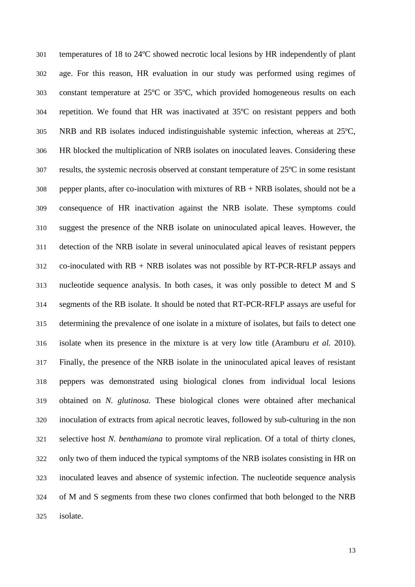temperatures of 18 to 24ºC showed necrotic local lesions by HR independently of plant age. For this reason, HR evaluation in our study was performed using regimes of constant temperature at 25ºC or 35ºC, which provided homogeneous results on each repetition. We found that HR was inactivated at 35ºC on resistant peppers and both NRB and RB isolates induced indistinguishable systemic infection, whereas at 25ºC, HR blocked the multiplication of NRB isolates on inoculated leaves. Considering these results, the systemic necrosis observed at constant temperature of  $25^{\circ}$ C in some resistant pepper plants, after co-inoculation with mixtures of RB + NRB isolates, should not be a consequence of HR inactivation against the NRB isolate. These symptoms could suggest the presence of the NRB isolate on uninoculated apical leaves. However, the detection of the NRB isolate in several uninoculated apical leaves of resistant peppers 312 co-inoculated with  $RB + NRB$  isolates was not possible by  $RT-PCR$ -RFLP assays and nucleotide sequence analysis. In both cases, it was only possible to detect M and S segments of the RB isolate. It should be noted that RT-PCR-RFLP assays are useful for determining the prevalence of one isolate in a mixture of isolates, but fails to detect one isolate when its presence in the mixture is at very low title (Aramburu *et al.* 2010). Finally, the presence of the NRB isolate in the uninoculated apical leaves of resistant peppers was demonstrated using biological clones from individual local lesions obtained on *N. glutinosa.* These biological clones were obtained after mechanical inoculation of extracts from apical necrotic leaves, followed by sub-culturing in the non selective host *N. benthamiana* to promote viral replication. Of a total of thirty clones, only two of them induced the typical symptoms of the NRB isolates consisting in HR on inoculated leaves and absence of systemic infection. The nucleotide sequence analysis of M and S segments from these two clones confirmed that both belonged to the NRB isolate.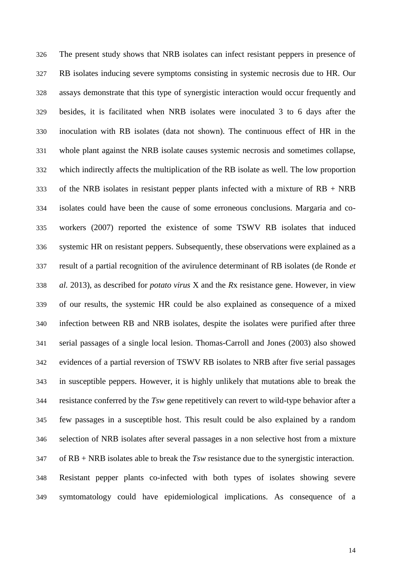The present study shows that NRB isolates can infect resistant peppers in presence of RB isolates inducing severe symptoms consisting in systemic necrosis due to HR. Our assays demonstrate that this type of synergistic interaction would occur frequently and besides, it is facilitated when NRB isolates were inoculated 3 to 6 days after the inoculation with RB isolates (data not shown). The continuous effect of HR in the whole plant against the NRB isolate causes systemic necrosis and sometimes collapse, which indirectly affects the multiplication of the RB isolate as well. The low proportion 333 of the NRB isolates in resistant pepper plants infected with a mixture of  $RB + NRB$  isolates could have been the cause of some erroneous conclusions. Margaria and co- workers (2007) reported the existence of some TSWV RB isolates that induced systemic HR on resistant peppers. Subsequently, these observations were explained as a result of a partial recognition of the avirulence determinant of RB isolates (de Ronde *et al.* 2013), as described for *potato virus* X and the *R*x resistance gene. However, in view of our results, the systemic HR could be also explained as consequence of a mixed infection between RB and NRB isolates, despite the isolates were purified after three serial passages of a single local lesion. Thomas-Carroll and Jones (2003) also showed evidences of a partial reversion of TSWV RB isolates to NRB after five serial passages in susceptible peppers. However, it is highly unlikely that mutations able to break the resistance conferred by the *Tsw* gene repetitively can revert to wild-type behavior after a few passages in a susceptible host. This result could be also explained by a random selection of NRB isolates after several passages in a non selective host from a mixture of RB + NRB isolates able to break the *Tsw* resistance due to the synergistic interaction. Resistant pepper plants co-infected with both types of isolates showing severe symtomatology could have epidemiological implications. As consequence of a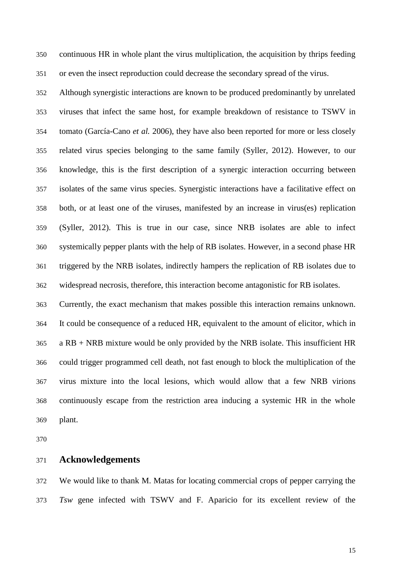continuous HR in whole plant the virus multiplication, the acquisition by thrips feeding or even the insect reproduction could decrease the secondary spread of the virus.

 Although synergistic interactions are known to be produced predominantly by unrelated viruses that infect the same host, for example breakdown of resistance to TSWV in tomato (García-Cano *et al.* 2006), they have also been reported for more or less closely related virus species belonging to the same family (Syller, 2012). However, to our knowledge, this is the first description of a synergic interaction occurring between isolates of the same virus species. Synergistic interactions have a facilitative effect on both, or at least one of the viruses, manifested by an increase in virus(es) replication (Syller, 2012). This is true in our case, since NRB isolates are able to infect systemically pepper plants with the help of RB isolates. However, in a second phase HR triggered by the NRB isolates, indirectly hampers the replication of RB isolates due to widespread necrosis, therefore, this interaction become antagonistic for RB isolates.

 Currently, the exact mechanism that makes possible this interaction remains unknown. It could be consequence of a reduced HR, equivalent to the amount of elicitor, which in a RB + NRB mixture would be only provided by the NRB isolate. This insufficient HR could trigger programmed cell death, not fast enough to block the multiplication of the virus mixture into the local lesions, which would allow that a few NRB virions continuously escape from the restriction area inducing a systemic HR in the whole plant.

#### **Acknowledgements**

 We would like to thank M. Matas for locating commercial crops of pepper carrying the *Tsw* gene infected with TSWV and F. Aparicio for its excellent review of the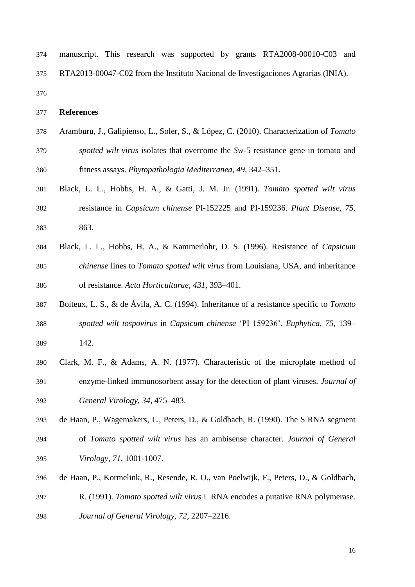| 374 |  |  |  | manuscript. This research was supported by grants RTA2008-00010-C03 and           |  |
|-----|--|--|--|-----------------------------------------------------------------------------------|--|
| 375 |  |  |  | RTA2013-00047-C02 from the Instituto Nacional de Investigaciones Agrarias (INIA). |  |

## **References**

- Aramburu, J., Galipienso, L., Soler, S., & López, C. (2010). Characterization of *Tomato spotted wilt virus* isolates that overcome the *Sw*-5 resistance gene in tomato and fitness assays. *Phytopathologia Mediterranea, 49,* 342–351.
- Black, L. L., Hobbs, H. A., & Gatti, J. M. Jr. (1991). *Tomato spotted wilt virus* resistance in *Capsicum chinense* PI-152225 and PI-159236. *Plant Disease, 75,* 863.
- Black, L. L., Hobbs, H. A., & Kammerlohr, D. S. (1996). Resistance of *Capsicum chinense* lines to *Tomato spotted wilt virus* from Louisiana, USA, and inheritance of resistance. *Acta Horticulturae, 431,* 393–401.
- Boiteux, L. S., & de Ávila, A. C. (1994). Inheritance of a resistance specific to *Tomato spotted wilt tospovirus* in *Capsicum chinense* 'PI 159236'. *Euphytica, 75,* 139– 142.
- Clark, M. F., & Adams, A. N. (1977). Characteristic of the microplate method of enzyme-linked immunosorbent assay for the detection of plant viruses. *Journal of General Virology, 34,* 475–483.
- de Haan, P., Wagemakers, L., Peters, D., & Goldbach, R. (1990). The S RNA segment of *Tomato spotted wilt virus* has an ambisense character. *Journal of General Virology, 71,* 1001-1007.
- de Haan, P., Kormelink, R., Resende, R. O., van Poelwijk, F., Peters, D., & Goldbach, R. (1991). *Tomato spotted wilt virus* L RNA encodes a putative RNA polymerase. *Journal of General Virology, 72,* 2207–2216.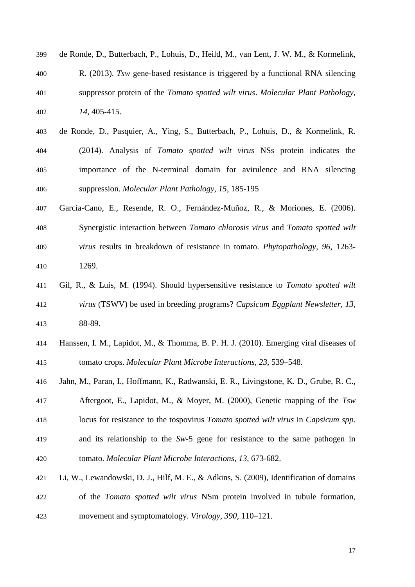| 399 | de Ronde, D., Butterbach, P., Lohuis, D., Heild, M., van Lent, J. W. M., & Kormelink,   |
|-----|-----------------------------------------------------------------------------------------|
| 400 | R. (2013). Tsw gene-based resistance is triggered by a functional RNA silencing         |
| 401 | suppressor protein of the <i>Tomato spotted wilt virus. Molecular Plant Pathology</i> , |
| 402 | 14, 405-415.                                                                            |

- de Ronde, D., Pasquier, A., Ying, S., Butterbach, P., Lohuis, D., & Kormelink, R. (2014). Analysis of *Tomato spotted wilt virus* NSs protein indicates the importance of the N-terminal domain for avirulence and RNA silencing suppression. *Molecular Plant Pathology, 15,* 185-195
- García-Cano, E., Resende, R. O., Fernández-Muñoz, R., & Moriones, E. (2006). Synergistic interaction between *Tomato chlorosis virus* and *Tomato spotted wilt virus* results in breakdown of resistance in tomato. *Phytopathology, 96,* 1263- 1269.
- Gil, R., & Luis, M. (1994). Should hypersensitive resistance to *Tomato spotted wilt virus* (TSWV) be used in breeding programs? *Capsicum Eggplant Newsletter, 13,* 88-89.
- Hanssen, I. M., Lapidot, M., & Thomma, B. P. H. J. (2010). Emerging viral diseases of tomato crops. *Molecular Plant Microbe Interactions, 23,* 539–548.
- Jahn, M., Paran, I., Hoffmann, K., Radwanski, E. R., Livingstone, K. D., Grube, R. C.,
- Aftergoot, E., Lapidot, M., & Moyer, M. (2000), Genetic mapping of the *Tsw* locus for resistance to the tospovirus *Tomato spotted wilt virus* in *Capsicum spp*. and its relationship to the *Sw*-5 gene for resistance to the same pathogen in tomato. *Molecular Plant Microbe Interactions, 13,* 673-682.
- Li, W., Lewandowski, D. J., Hilf, M. E., & Adkins, S. (2009), Identification of domains of the *Tomato spotted wilt virus* NSm protein involved in tubule formation, movement and symptomatology. *Virology, 390,* 110–121.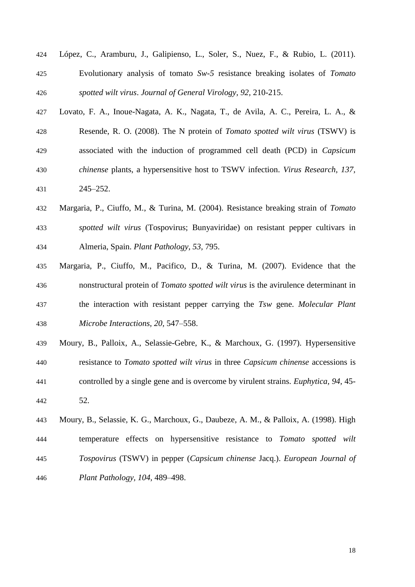- López, C., Aramburu, J., Galipienso, L., Soler, S., Nuez, F., & Rubio, L. (2011). Evolutionary analysis of tomato *Sw-5* resistance breaking isolates of *Tomato spotted wilt virus*. *Journal of General Virology, 92,* 210-215.
- Lovato, F. A., Inoue-Nagata, A. K., Nagata, T., de Avila, A. C., Pereira, L. A., & Resende, R. O. (2008). The N protein of *Tomato spotted wilt virus* (TSWV) is associated with the induction of programmed cell death (PCD) in *Capsicum chinense* plants, a hypersensitive host to TSWV infection. *Virus Research, 137,* 245–252.
- Margaria, P., Ciuffo, M., & Turina, M. (2004). Resistance breaking strain of *Tomato spotted wilt virus* (Tospovirus; Bunyaviridae) on resistant pepper cultivars in Almeria, Spain. *Plant Pathology, 53,* 795.
- Margaria, P., Ciuffo, M., Pacifico, D., & Turina, M. (2007). Evidence that the nonstructural protein of *Tomato spotted wilt virus* is the avirulence determinant in the interaction with resistant pepper carrying the *Tsw* gene. *Molecular Plant Microbe Interactions, 20,* 547–558.
- Moury, B., Palloix, A., Selassie-Gebre, K., & Marchoux, G. (1997). Hypersensitive resistance to *Tomato spotted wilt virus* in three *Capsicum chinense* accessions is controlled by a single gene and is overcome by virulent strains. *Euphytica, 94,* 45- 52.
- Moury, B., Selassie, K. G., Marchoux, G., Daubeze, A. M., & Palloix, A. (1998). High temperature effects on hypersensitive resistance to *Tomato spotted wilt Tospovirus* (TSWV) in pepper (*Capsicum chinense* Jacq.). *European Journal of Plant Pathology, 104,* 489–498.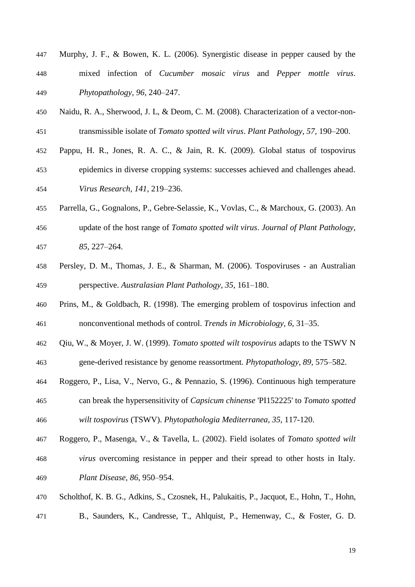- Murphy, J. F., & Bowen, K. L. (2006). Synergistic disease in pepper caused by the mixed infection of *Cucumber mosaic virus* and *Pepper mottle virus*. *Phytopathology, 96,* 240–247.
- Naidu, R. A., Sherwood, J. L, & Deom, C. M. (2008). Characterization of a vector-non-transmissible isolate of *Tomato spotted wilt virus*. *Plant Pathology, 57,* 190–200.
- Pappu, H. R., Jones, R. A. C., & Jain, R. K. (2009). Global status of tospovirus
- epidemics in diverse cropping systems: successes achieved and challenges ahead. *Virus Research, 141,* 219–236.
- Parrella, G., Gognalons, P., Gebre-Selassie, K., Vovlas, C., & Marchoux, G. (2003). An update of the host range of *Tomato spotted wilt virus*. *Journal of Plant Pathology, 85,* 227–264.
- Persley, D. M., Thomas, J. E., & Sharman, M. (2006). Tospoviruses an Australian perspective. *Australasian Plant Pathology, 35,* 161–180.
- Prins, M., & Goldbach, R. (1998). The emerging problem of tospovirus infection and nonconventional methods of control. *Trends in Microbiology, 6,* 31–35.
- Qiu, W., & Moyer, J. W. (1999). *Tomato spotted wilt tospovirus* adapts to the TSWV N
- gene-derived resistance by genome reassortment. *Phytopathology, 89,* 575–582.
- Roggero, P., Lisa, V., Nervo, G., & Pennazio, S. (1996). Continuous high temperature can break the hypersensitivity of *Capsicum chinense* 'PI152225' to *Tomato spotted wilt tospovirus* (TSWV). *Phytopathologia Mediterranea, 35,* 117-120.
- Roggero, P., Masenga, V., & Tavella, L. (2002). Field isolates of *Tomato spotted wilt virus* overcoming resistance in pepper and their spread to other hosts in Italy. *Plant Disease, 86,* 950–954.
- [Scholthof,](mhtml:file://C:/Users/jaramburu/AppData/Local/Microsoft/Windows/Temporary%20Internet%20Files/Content.Outlook/VXADOT8C/Scholthof%20et%20al%20%202011.mht!https://apps.webofknowledge.com/DaisyOneClickSearch.do?product=WOS&search_mode=DaisyOneClickSearch&colName=WOS&SID=2C9FpcK5mJEnd48EO6p&author_name=Scholthof,%20KBG&dais_id=14269215) K. B. G., [Adkins,](mhtml:file://C:/Users/jaramburu/AppData/Local/Microsoft/Windows/Temporary%20Internet%20Files/Content.Outlook/VXADOT8C/Scholthof%20et%20al%20%202011.mht!https://apps.webofknowledge.com/DaisyOneClickSearch.do?product=WOS&search_mode=DaisyOneClickSearch&colName=WOS&SID=2C9FpcK5mJEnd48EO6p&author_name=Adkins,%20S&dais_id=10127147) S., [Czosnek,](mhtml:file://C:/Users/jaramburu/AppData/Local/Microsoft/Windows/Temporary%20Internet%20Files/Content.Outlook/VXADOT8C/Scholthof%20et%20al%20%202011.mht!https://apps.webofknowledge.com/DaisyOneClickSearch.do?product=WOS&search_mode=DaisyOneClickSearch&colName=WOS&SID=2C9FpcK5mJEnd48EO6p&author_name=Czosnek,%20H&dais_id=10857818) H., [Palukaitis,](mhtml:file://C:/Users/jaramburu/AppData/Local/Microsoft/Windows/Temporary%20Internet%20Files/Content.Outlook/VXADOT8C/Scholthof%20et%20al%20%202011.mht!https://apps.webofknowledge.com/DaisyOneClickSearch.do?product=WOS&search_mode=DaisyOneClickSearch&colName=WOS&SID=2C9FpcK5mJEnd48EO6p&author_name=Palukaitis,%20P&dais_id=13006997) P., [Jacquot,](mhtml:file://C:/Users/jaramburu/AppData/Local/Microsoft/Windows/Temporary%20Internet%20Files/Content.Outlook/VXADOT8C/Scholthof%20et%20al%20%202011.mht!https://apps.webofknowledge.com/DaisyOneClickSearch.do?product=WOS&search_mode=DaisyOneClickSearch&colName=WOS&SID=2C9FpcK5mJEnd48EO6p&author_name=Jacquot,%20E&dais_id=12128936) E., [Hohn,](mhtml:file://C:/Users/jaramburu/AppData/Local/Microsoft/Windows/Temporary%20Internet%20Files/Content.Outlook/VXADOT8C/Scholthof%20et%20al%20%202011.mht!https://apps.webofknowledge.com/DaisyOneClickSearch.do?product=WOS&search_mode=DaisyOneClickSearch&colName=WOS&SID=2C9FpcK5mJEnd48EO6p&author_name=Hohn,%20T&dais_id=11930697) T., [Hohn,](mhtml:file://C:/Users/jaramburu/AppData/Local/Microsoft/Windows/Temporary%20Internet%20Files/Content.Outlook/VXADOT8C/Scholthof%20et%20al%20%202011.mht!https://apps.webofknowledge.com/DaisyOneClickSearch.do?product=WOS&search_mode=DaisyOneClickSearch&colName=WOS&SID=2C9FpcK5mJEnd48EO6p&author_name=Hohn,%20B&dais_id=11930594)
- [B.](mhtml:file://C:/Users/jaramburu/AppData/Local/Microsoft/Windows/Temporary%20Internet%20Files/Content.Outlook/VXADOT8C/Scholthof%20et%20al%20%202011.mht!https://apps.webofknowledge.com/DaisyOneClickSearch.do?product=WOS&search_mode=DaisyOneClickSearch&colName=WOS&SID=2C9FpcK5mJEnd48EO6p&author_name=Hohn,%20B&dais_id=11930594), [Saunders,](mhtml:file://C:/Users/jaramburu/AppData/Local/Microsoft/Windows/Temporary%20Internet%20Files/Content.Outlook/VXADOT8C/Scholthof%20et%20al%20%202011.mht!https://apps.webofknowledge.com/DaisyOneClickSearch.do?product=WOS&search_mode=DaisyOneClickSearch&colName=WOS&SID=2C9FpcK5mJEnd48EO6p&author_name=Saunders,%20K&dais_id=8563400) K., [Candresse,](mhtml:file://C:/Users/jaramburu/AppData/Local/Microsoft/Windows/Temporary%20Internet%20Files/Content.Outlook/VXADOT8C/Scholthof%20et%20al%20%202011.mht!https://apps.webofknowledge.com/DaisyOneClickSearch.do?product=WOS&search_mode=DaisyOneClickSearch&colName=WOS&SID=2C9FpcK5mJEnd48EO6p&author_name=Candresse,%20T&dais_id=10648675) T., [Ahlquist,](mhtml:file://C:/Users/jaramburu/AppData/Local/Microsoft/Windows/Temporary%20Internet%20Files/Content.Outlook/VXADOT8C/Scholthof%20et%20al%20%202011.mht!https://apps.webofknowledge.com/DaisyOneClickSearch.do?product=WOS&search_mode=DaisyOneClickSearch&colName=WOS&SID=2C9FpcK5mJEnd48EO6p&author_name=Ahlquist,%20P&dais_id=10140258) P., [Hemenway,](mhtml:file://C:/Users/jaramburu/AppData/Local/Microsoft/Windows/Temporary%20Internet%20Files/Content.Outlook/VXADOT8C/Scholthof%20et%20al%20%202011.mht!https://apps.webofknowledge.com/DaisyOneClickSearch.do?product=WOS&search_mode=DaisyOneClickSearch&colName=WOS&SID=2C9FpcK5mJEnd48EO6p&author_name=Hemenway,%20C&dais_id=12141392) C., & [Foster,](mhtml:file://C:/Users/jaramburu/AppData/Local/Microsoft/Windows/Temporary%20Internet%20Files/Content.Outlook/VXADOT8C/Scholthof%20et%20al%20%202011.mht!https://apps.webofknowledge.com/DaisyOneClickSearch.do?product=WOS&search_mode=DaisyOneClickSearch&colName=WOS&SID=2C9FpcK5mJEnd48EO6p&author_name=Foster,%20GD&dais_id=16105023&cacheurlFromRightClick=no) G. D.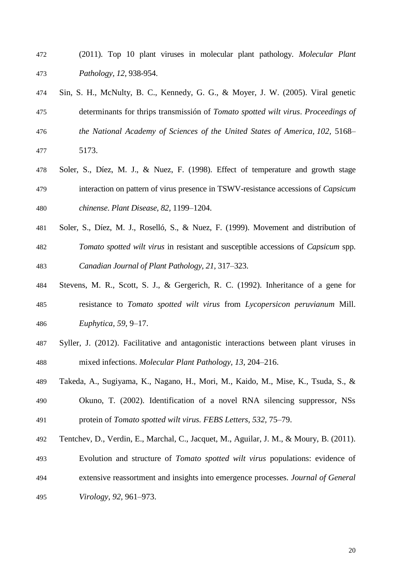- (2011). Top 10 plant viruses in molecular plant pathology. *Molecular Plant Pathology, 12,* 938-954.
- Sin, S. H., McNulty, B. C., Kennedy, G. G., & Moyer, J. W. (2005). Viral genetic determinants for thrips transmissión of *Tomato spotted wilt virus*. *Proceedings of the National Academy of Sciences of the United States of America, 102,* 5168– 5173.
- Soler, S., Díez, M. J., & Nuez, F. (1998). Effect of temperature and growth stage interaction on pattern of virus presence in TSWV-resistance accessions of *Capsicum chinense*. *Plant Disease, 82,* 1199–1204.
- Soler, S., Díez, M. J., Roselló, S., & Nuez, F. (1999). Movement and distribution of *Tomato spotted wilt virus* in resistant and susceptible accessions of *Capsicum* spp. *Canadian Journal of Plant Pathology, 21,* 317–323.
- Stevens, M. R., Scott, S. J., & Gergerich, R. C. (1992). Inheritance of a gene for resistance to *Tomato spotted wilt virus* from *Lycopersicon peruvianum* Mill. *Euphytica, 59,* 9–17.
- Syller, J. (2012). Facilitative and antagonistic interactions between plant viruses in mixed infections. *Molecular Plant Pathology, 13,* 204–216.
- Takeda, A., Sugiyama, K., Nagano, H., Mori, M., Kaido, M., Mise, K., Tsuda, S., & Okuno, T*.* (2002). Identification of a novel RNA silencing suppressor, NSs protein of *Tomato spotted wilt virus. FEBS Letters*, *532,* 75–79.
- Tentchev, D., Verdin, E., Marchal, C., Jacquet, M., Aguilar, J. M., & Moury, B. (2011).
- Evolution and structure of *Tomato spotted wilt virus* populations: evidence of extensive reassortment and insights into emergence processes. *Journal of General Virology, 92,* 961–973.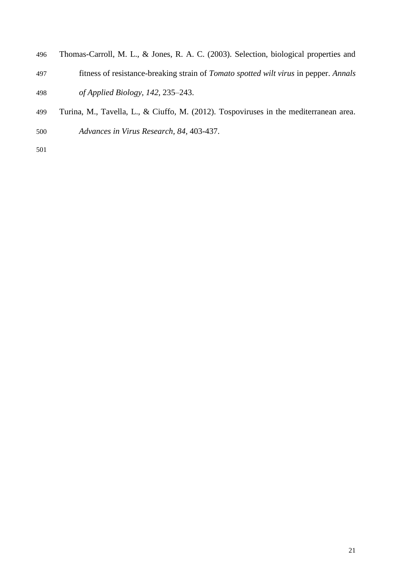- Thomas-Carroll, M. L., & Jones, R. A. C. (2003). Selection, biological properties and
- fitness of resistance-breaking strain of *Tomato spotted wilt virus* in pepper. *Annals of Applied Biology, 142,* 235–243.
- Turina, M., Tavella, L., & Ciuffo, M. (2012). Tospoviruses in the mediterranean area.
- *Advances in Virus Research, 84,* 403-437.
-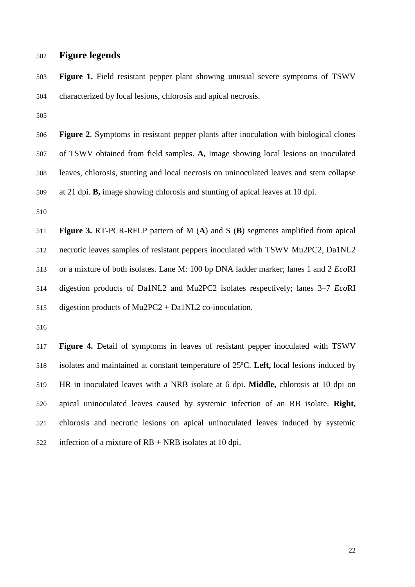## **Figure legends**

 **Figure 1.** Field resistant pepper plant showing unusual severe symptoms of TSWV characterized by local lesions, chlorosis and apical necrosis.

 **Figure 2**. Symptoms in resistant pepper plants after inoculation with biological clones of TSWV obtained from field samples. **A,** Image showing local lesions on inoculated leaves, chlorosis, stunting and local necrosis on uninoculated leaves and stem collapse at 21 dpi. **B,** image showing chlorosis and stunting of apical leaves at 10 dpi.

 **Figure 3.** RT-PCR-RFLP pattern of M (**A**) and S (**B**) segments amplified from apical necrotic leaves samples of resistant peppers inoculated with TSWV Mu2PC2, Da1NL2 or a mixture of both isolates. Lane M: 100 bp DNA ladder marker; lanes 1 and 2 *Eco*RI digestion products of Da1NL2 and Mu2PC2 isolates respectively; lanes 3–7 *Eco*RI digestion products of Mu2PC2 + Da1NL2 co-inoculation.

 **Figure 4.** Detail of symptoms in leaves of resistant pepper inoculated with TSWV isolates and maintained at constant temperature of 25ºC. **Left,** local lesions induced by HR in inoculated leaves with a NRB isolate at 6 dpi. **Middle,** chlorosis at 10 dpi on apical uninoculated leaves caused by systemic infection of an RB isolate. **Right,** chlorosis and necrotic lesions on apical uninoculated leaves induced by systemic infection of a mixture of RB + NRB isolates at 10 dpi.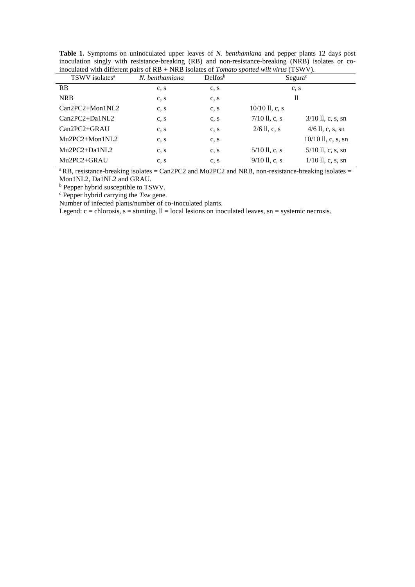| moculated with different pairs of $FD + NND$ isolates of <i>Formato spotted with virus</i> (FSW V). |                |             |                     |                      |  |  |  |
|-----------------------------------------------------------------------------------------------------|----------------|-------------|---------------------|----------------------|--|--|--|
| TSWV isolates <sup>a</sup>                                                                          | N. benthamiana | $Delta^{b}$ | Segura <sup>c</sup> |                      |  |  |  |
| <b>RB</b>                                                                                           | c, s           | c, s        |                     | c, s                 |  |  |  |
| <b>NRB</b>                                                                                          | c, s           | c, s        | 11                  |                      |  |  |  |
| $Can2PC2+Mon1NL2$                                                                                   | c, s           | c, s        | $10/10$ ll, c, s    |                      |  |  |  |
| $Can2PC2+Da1NL2$                                                                                    | c, s           | c, s        | $7/10$ ll, c, s     | $3/10$ ll, c, s, sn  |  |  |  |
| $Can2PC2+GRAU$                                                                                      | c, s           | c, s        | $2/6$ ll, c, s      | $4/6$ ll, c, s, sn   |  |  |  |
| $Mu2PC2+Mon1NL2$                                                                                    | c, s           | c, s        |                     | $10/10$ ll, c, s, sn |  |  |  |
| $Mu2PC2+Da1NL2$                                                                                     | c, s           | c, s        | $5/10$ ll, c, s     | $5/10$ ll, c, s, sn  |  |  |  |
| Mu2PC2+GRAU                                                                                         | c, s           | c, s        | $9/10$ ll, c, s     | $1/10$ ll, c, s, sn  |  |  |  |

**Table 1.** Symptoms on uninoculated upper leaves of *N. benthamiana* and pepper plants 12 days post inoculation singly with resistance-breaking (RB) and non-resistance-breaking (NRB) isolates or coinoculated with different pairs of RB + NRB isolates of *Tomato spotted wilt virus* (TSWV).

 $a$ RB, resistance-breaking isolates = Can2PC2 and Mu2PC2 and NRB, non-resistance-breaking isolates = Mon1NL2, Da1NL2 and GRAU.

**b** Pepper hybrid susceptible to TSWV.

c Pepper hybrid carrying the *Tsw* gene.

Number of infected plants/number of co-inoculated plants.

Legend:  $c =$  chlorosis,  $s =$  stunting,  $ll =$  local lesions on inoculated leaves,  $sn =$  systemic necrosis.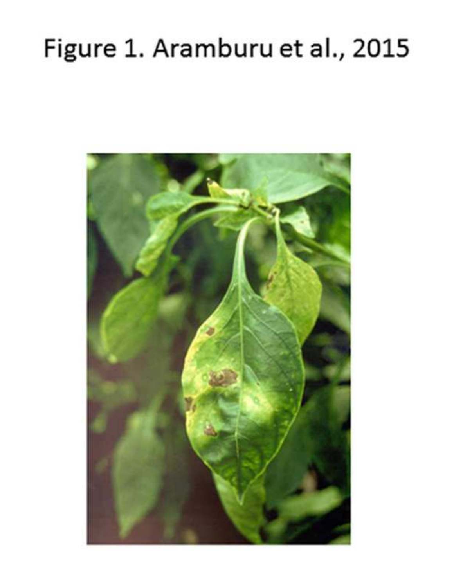# Figure 1. Aramburu et al., 2015

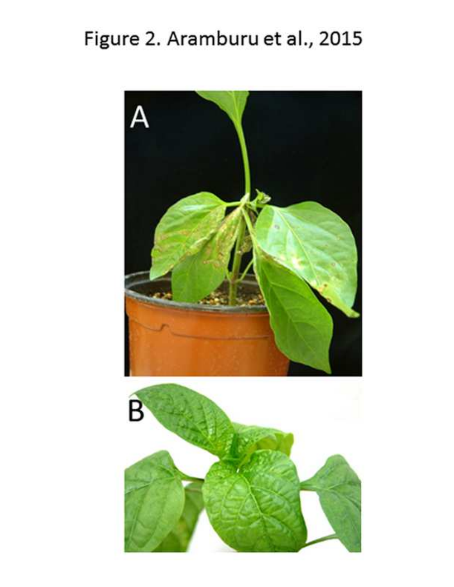## Figure 2. Aramburu et al., 2015

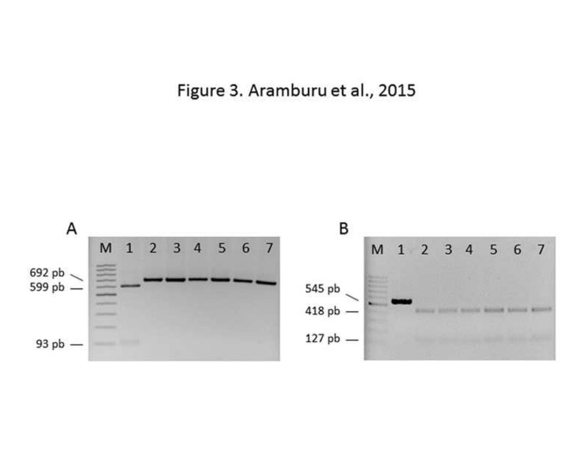Figure 3. Aramburu et al., 2015